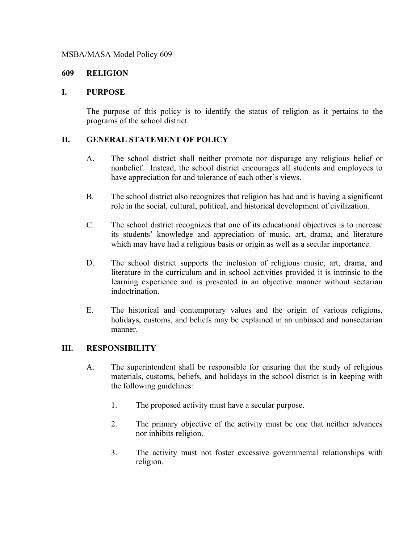## MSBA/MASA Model Policy 609

## **609 RELIGION**

## **I. PURPOSE**

The purpose of this policy is to identify the status of religion as it pertains to the programs of the school district.

## **II. GENERAL STATEMENT OF POLICY**

- A. The school district shall neither promote nor disparage any religious belief or nonbelief. Instead, the school district encourages all students and employees to have appreciation for and tolerance of each other's views.
- B. The school district also recognizes that religion has had and is having a significant role in the social, cultural, political, and historical development of civilization.
- C. The school district recognizes that one of its educational objectives is to increase its students' knowledge and appreciation of music, art, drama, and literature which may have had a religious basis or origin as well as a secular importance.
- D. The school district supports the inclusion of religious music, art, drama, and literature in the curriculum and in school activities provided it is intrinsic to the learning experience and is presented in an objective manner without sectarian indoctrination.
- E. The historical and contemporary values and the origin of various religions, holidays, customs, and beliefs may be explained in an unbiased and nonsectarian manner.

# **III. RESPONSIBILITY**

- A. The superintendent shall be responsible for ensuring that the study of religious materials, customs, beliefs, and holidays in the school district is in keeping with the following guidelines:
	- 1. The proposed activity must have a secular purpose.
	- 2. The primary objective of the activity must be one that neither advances nor inhibits religion.
	- 3. The activity must not foster excessive governmental relationships with religion.